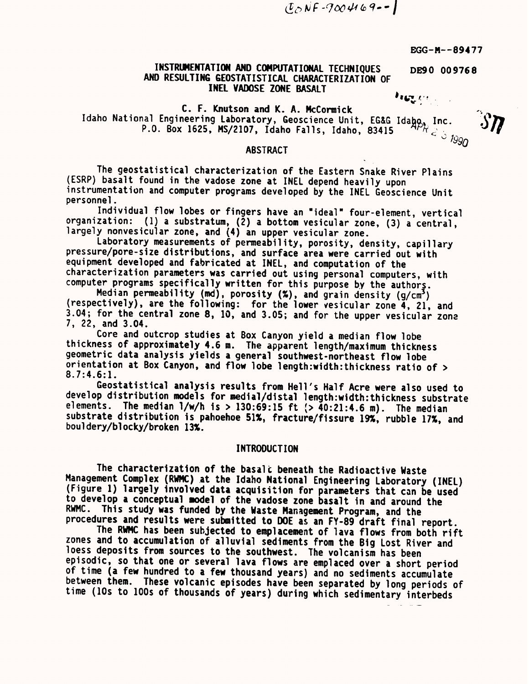$(0, NF - 9004169 - )$ 

EGG—M--89477

DE90 009768

## INSTRUMENTATION AND COMPUTATIONAL TECHNIQUES AND RESULTING GEOSTATISTICAL CHARACTERIZATION OF INEL VADOSE ZONE BASALT

1114WI:c4'f

C. F. Knutson and K. A. McCormick Idaho National Engineering Laboratory, Geoscience Unit, EG&G Idabo, Inc. P.O. Box 1625, MS/2107, Idaho Falls, Idaho, 83415  $\overline{\phantom{a}}^{P R}$ e  $\overline{\phantom{a}}^{Q}$  1990

#### ABSTRACT

The geostatistical characterization of the Eastern Snake River Plains (ESRP) basalt found in the vadose zone at INEL depend heavily upon instrumentation and computer programs developed by the INEL Geoscience Unit personnel.

Individual flow lobes or fingers have an "ideal" four-element, vertical organization: (1) a substratum,  $(\overline{2})$  a bottom vesicular zone, (3) a central, largely nonvesicular zone, and (4) an upper vesicular zone.

Laboratory measurements of permeability, porosity, density, capillary pressure/pore-size distributions, and surface area were carried out with equipment developed and fabricated at INEL, and computation of the characterization parameters was carried out using personal computers, with computer programs specifically written for this purpose by the authors.

Median permeability (md), porosity  $(\%)$ , and grain density  $(g/cm<sup>3</sup>)$ (respectively), are the following: for the lower vesicular zone 4, 21, and 3.04; for the central zone 8, 10, and 3.05; and for the upper vesicular zone 7, 22, and 3.04.

Core and outcrop studies at Box Canyon yield a median flow lobe thickness of approximately 4.6 m. The apparent length/maximum thickness geometric data analysis yields a general southwest-northeast flow lobe orientation at Box Canyon, and flow lobe length:width:thickness ratio of <sup>&</sup>gt; 8.7:4.6:1.

Geostatistical analysis results from Hell's Half Acre were also used to develop distribution models for medial/distal length:width:thickness substrate elements. The median  $1/w/h$  is > 130:69:15 ft  $($  > 40:21:4.6 m). The median substrate distribution is pahoehoe 51%, fracture/fissure 19%, rubble 17%, and bouldery/blocky/broken 13%.

## INTRODUCTION

The characterization of the basalt beneath the Radioactive Waste<br>Management Complex (RWMC) at the Idaho National Engineering Laboratory (INEL) (Figure 1) largely involved data acquisition for parameters that can be used to develop a conceptual model of the vadose zone basalt in and around the RWMC. This study was funded by the Waste Management Program, and the procedures and results were submitted to DOE as an FY-89 draft final report.

The RWMC has been subjected to emplacement of lava flows from both rift<br>zones and to accumulation of alluvial sediments from the Big Lost River and loess deposits from sources to the southwest. The volcanism has been<br>episodic, so that one or several lava flows are emplaced over a short period<br>of time (a few hundred to a few thousand years) and no sediments accumulate<br> time (10s to 100s of thousands of years) during which sedimentary interbeds

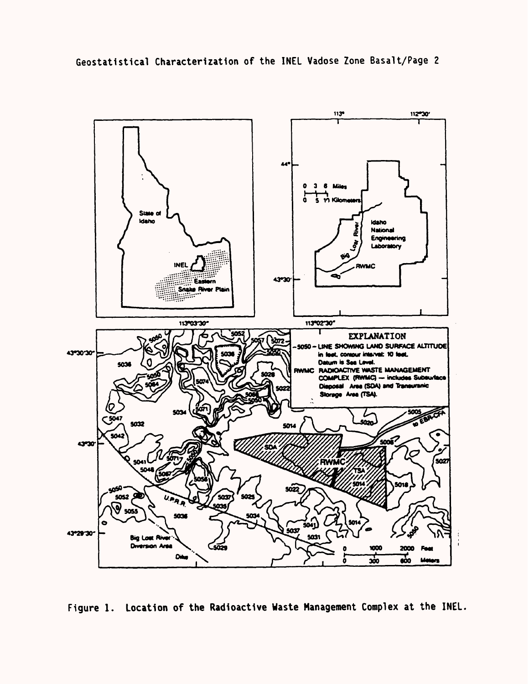



Figure I. Location of the Radioactive Waste Management Complex at the INEL.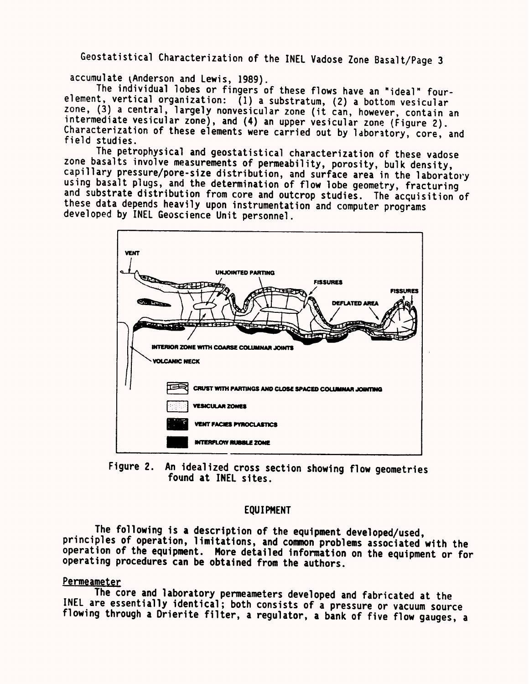accumulate (Anderson and Lewis, 1989).<br>The individual lobes or fingers of these flows have an "ideal" fourelement, vertical organization: (1) a substratum, (2) a bottom vesicular<br>zone, (3) a central, largely nonvesicular zone (it can, however, contain an intermediate vesicular zone), and (4) an upper vesicular zone (figure 2).<br>Characterization of these elements were carried out by laboratory, core, and<br>field studies.

The petrophysical and geostatistical characterization of these vadose<br>zone basalts involve measurements of permeability, porosity, bulk density, capillary pressure/pore-size distribution, and surface area in the laboratory<br>using basalt plugs, and the determination of flow lobe geometry, fracturing<br>and substrate distribution from core and outcrop studies. The acquis these data depends heavily upon instrumentation and computer programs developed by INEL Geoscience Unit personnel.



Figure 2. An idealized cross section showing flow geometries found at INEL sites.

## EQUIPMENT

The following is a description of the equipment developed/used,<br>principles of operation, limitations, and common problems associated with the principles operation of the equipment. More detailed information on the equipment or for operating procedures can be obtained from the authors.

## Permeameter

The core and laboratory permeameters developed and fabricated at the<br>INEL are essentially identical; both consists of a pressure or vacuum source flowing through a Drierite filter, a regulator, a bank of five flow gauges, a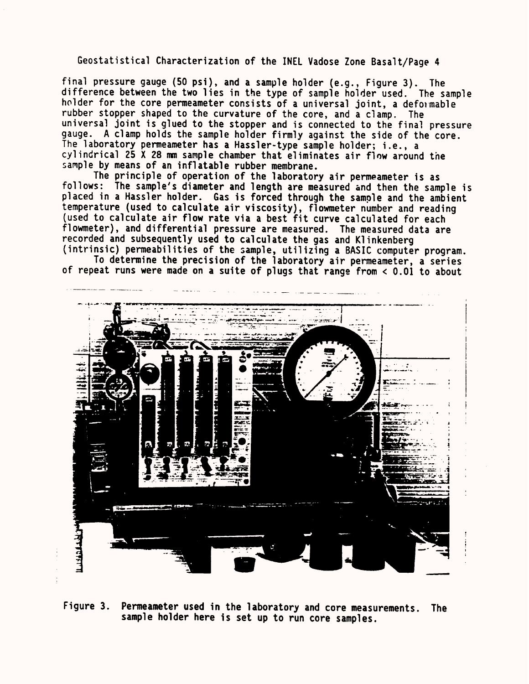final pressure gauge (50 psi), and a sample holder (e.g., Figure 3). The difference between the two lies in the type of sample holder used. The sample holder for the core permeameter consists of a universal joint, a defomable rubber stopper shaped to the curvature of the core, and a clamp. The universal joint is glued to the stopper and is connected to the final pressure gauge. A clamp holds the sample holder firmly against the side of the core. The laboratory permeameter has a Hassler-type sample holder; i.e., a cylindrical 25 X 28 mm sample chamber that eliminates air flow around the sample by means of an inflatable rubber membrane.

The principle of operation of the laboratory air permeameter is as follows: The sample's diameter and length are measured and then the sample is placed in a Hassler holder. Gas is forced through the sample and the ambient temperature (used to calculate air viscosity), flowmeter number and reading (used to calculate air flow rate via a best fit curve calculated for each flowmeter), and differential pressure are measured. The measured data are recorded and subsequently used to calculate the gas and Klinkenberg (intrinsic) permeabilities of the sample, utilizing a BASIC computer program.

To determine the precision of the laboratory air permeameter, a series of repeat runs were made on a suite of plugs that range from < 0.01 to about



Figure 3. Permeameter used in the laboratory and core measurements. The sample holder here is set up to run core samples.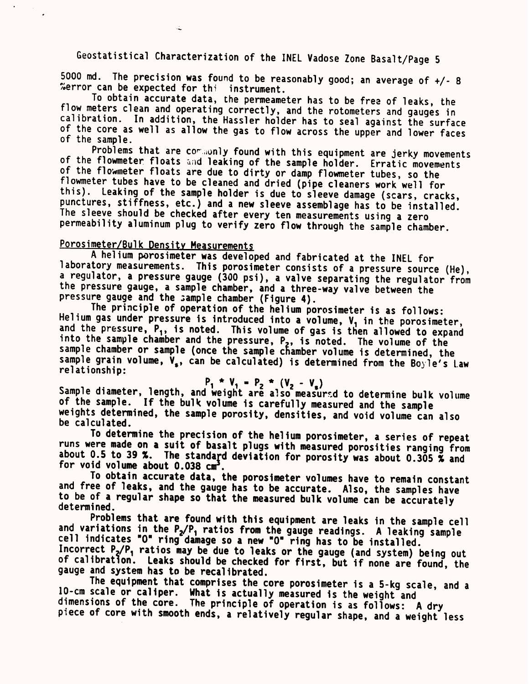5000 md. The precision was found to be reasonably good; an average of  $+/$ - 8 %error can be expected for thi instrument.<br>To obtain accurate data, the permeameter has to be free of leaks, the

flow meters clean and operating correctly, and the rotometers and gauges in calibration. In addition, the Hassler holder has to seal against the surface of the core as well as allow the gas to flow across the upper and low

of the flowmeter floats and leaking of the sample holder. Erratic movements<br>of the flowmeter floats are due to dirty or damp flowmeter tubes, so the<br>flowmeter tubes have to be cleaned and dried (pipe cleaners work well for The sleeve should be checked after every ten measurements using a zero<br>permeability aluminum plug to verify zero flow through the sample chamber.

 $\mathcal{L}$ 

Porosimeter/Bulk Density Measurements<br>A helium porosimeter was developed and fabricated at the INEL for laboratory measurements. This porosimeter consists of a pressure source (He),<br>a regulator, a pressure gauge (300 psi), a valve separating the regulator from the pressure gauge, a sample chamber, and a three-way valve between the pressure gauge and the sample chamber (Figure 4).<br>The principle of operation of the helium porosimeter is as follows:

Helium gas under pressure is introduced into a volume,  $V_1$  in the porosimeter,<br>and the pressure,  $P_1$ , is noted. This volume of gas is then allowed to expand<br>into the sample chamber and the pressure,  $P_2$ , is noted. T

## $P_1$  \*  $V_1$  =  $P_2$  \*  $(V_2$  -  $V_2)$

Sample diameter, length, and weight are also of the sample. If the bulk volume is carefully measured and the sample<br>weights determined, the sample porosity, densities, and void volume can also<br>be calculated.

To determine the precision of the helium porosimeter, a series of repeat<br>runs were made on a suit of basalt plugs with measured porosities ranging from about 0.5 to 39 %. The standard deviation for porosity was about 0.305  $\tilde{\mathbf{x}}$  and for void volume about 0.038 cm<sup>3</sup>. To obtain accurate data, the porosimeter volumes have to remain constant

and free of leaks, and the gauge has to be accurate. Also, the samples have<br>to be of a regular shape so that the measured bulk volume can be accurately<br>determined.

Problems that are found with this equipment are leaks in the sample cell and variations in the  $P_2/P_1$  ratios from the gauge readings. A leaking sample cell indicates "0" ring damage so a new "0" ring has to be installed of calibration. Leaks should be checked for first, but if none are found, the gauge and system has to be recalibrated.

The equipment that comprises the core porosimeter is a 5-kg scale, and <sup>a</sup> 10-cm scale or caliper. What is actually measured is the weight and<br>dimensions of the core. The principle of operation is as follows: A dry<br>piece of core with smooth ends, a relatively regular shape, and a weight less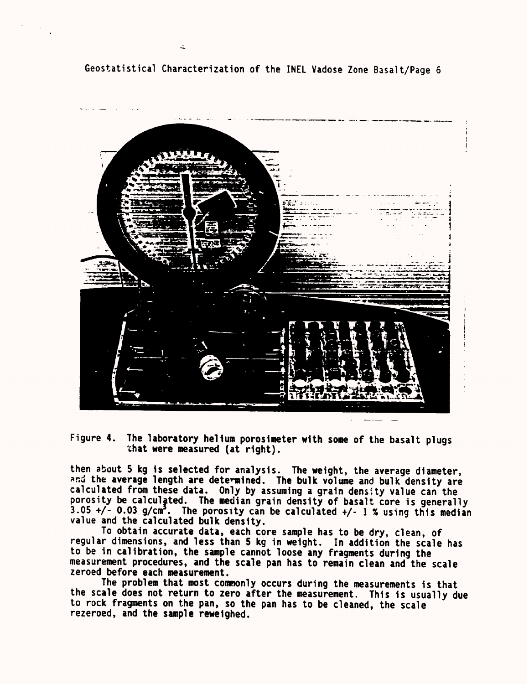

Figure 4. The laboratory helium porosimeter with some of the basalt plugs that were measured (at right).

then about 5 kg is selected for analysis. The weight, the average diameter, and the average length are determined. The bulk volume and bulk density are calculated from these data. Only by assuming a grain density value can the porosity be calculated. The median grain density of basalt core is generally  $3.05 +/- 0.03$  g/cm<sup>3</sup>. The porosity can be calculated  $+/- 1$  % using this median value and the calculated bulk density.

To obtain accurate data, each core sample has to be dry, clean, of regular dimensions, and less than 5 kg in weight. In addition the scale has to be in calibration, the sample cannot loose any fragments during the measurement procedures, and the scale pan has to remain clean and the scale zeroed before each measurement.

The problem that most commonly occurs during the measurements is that the scale does not return to zero after the measurement. This is usually due to rock fragments on the pan, so the pan has to be cleaned, the scale rezeroed, and the sample reweighed.

 $\Delta$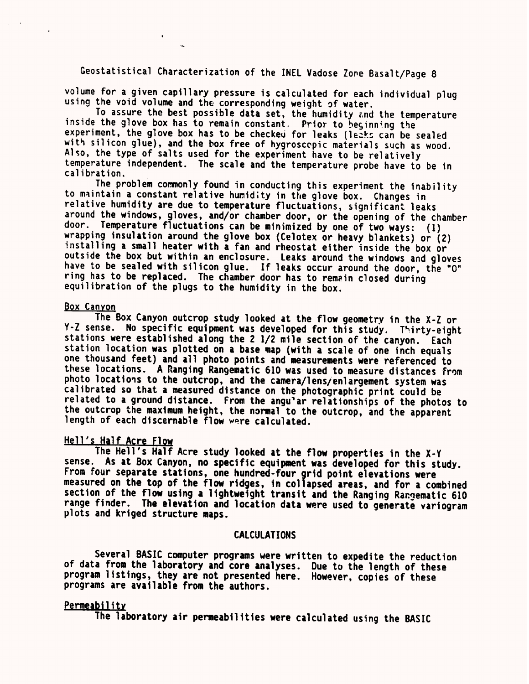volume for a given capillary pressure is calculated for each individual plug using the void volume and the corresponding weight of water.

To assure the best possible data set, the humidity znd the temperature inside the glove box has to remain constant. Prior to beginning the experiment, the glove box has to be checked for leaks (leaks can be sealed with silicon glue), and the box free of hygroscopic materials such as wood. Also, the type of salts used for the experiment have to be relatively temperature independent. The scale and the temperature probe have to be in calibration.

The problem commonly found in conducting this experiment the inability to maintain a constant relative humidity in the glove box. Changes in relative humidity are due to temperature fluctuations, significant leaks around the windows, gloves, and/or chamber door, or the opening of the chamber door. Temperature fluctuations can be minimized by one of two ways: (I) wrapping insulation around the glove box (Celotex or heavy blankets) or (2) installing a small heater with a fan and rheostat either inside the box or outside the box but within an enclosure. Leaks around the windows and gloves have to be sealed with silicon glue. If leaks occur around the door, the "0" ring has to be replaced. The chamber door has to remain closed during equilibration of the plugs to the humidity in the box.

## Box Canyon

The Box Canyon outcrop study looked at the flow geometry in the X-Z or Y-Z sense. No specific equipment was developed for this study. Thirty-eight stations were established along the 2 1/2 mile section of the canyon. Each station location was plotted on a base map (with a scale of one inch equals one thousand feet) and all photo points and measurements were referenced to these locations. A Ranging Rangematic 610 was used to measure distances From photo locations to the outcrop, and the camera/lens/enlargement system was calibrated so that a measured distance on the photographic print could be related to a ground distance. From the angu'ar relationships of the photos to the outcrop the maximum height, the normal to the outcrop, and the apparent length of each discernable flow were calculated.

## Hell's Half Acre Flow

The Hell's Half Acre study looked at the flow properties in the X-Y sense. As at Box Canyon, no specific equipment was developed for this study. From four separate stations, one hundred-four grid point elevations were measured on the top of the flow ridges, in collapsed areas, and for a combined section of the flow using a lightweight transit and the Ranging Rangematic 610 range finder. The elevation and location data were used to generate variogram plots and kriged structure maps.

## CALCULATIONS

Several BASIC computer programs were written to expedite the reduction of data from the laboratory and core analyses. Due to the length of these program listings, they are not presented here. However, copies of these programs are available from the authors.

## **Permeability**

The laboratory air permeabilities were calculated using the BASIC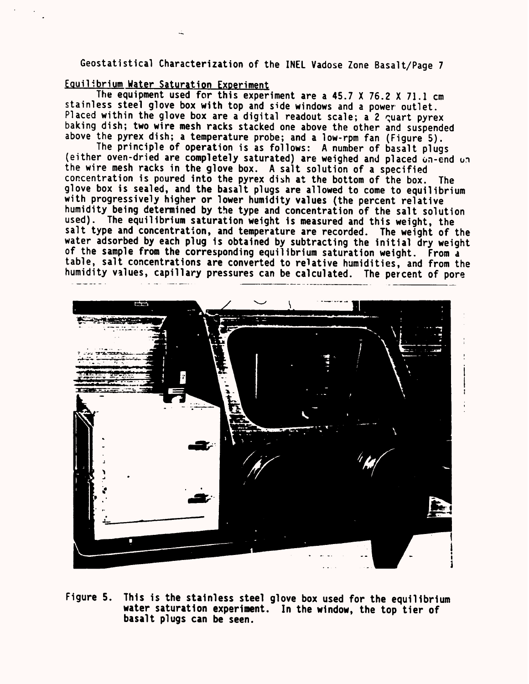## Eouilibrium Water Saturation Experiment

The equipment used for this experiment are a 45.7 X 76.2 X 71.1 cm stainless steel glove box with top and side windows and a power outlet. Placed within the glove box are a digital readout scale; a 2 guart pyrex baking dish; two wire mesh racks stacked one above the other and suspended above the pyrex dish; a temperature probe; and a low-rpm fan (Figure 5).

The principle of operation is as follows: A number of basalt plugs (either oven-dried are completely saturated) are weighed and placed un-end un the wire mesh racks in the glove box. A salt solution of a specified concentration is poured into the pyrex dish at the bottom of the box. The glove box is sealed, and the basalt plugs are allowed to come to equilibrium with progressively higher or lower humidity values (the percent relative humidity being determined by the type and concentration of the salt solution used). The equilibrium saturation weight is measured and this weight, the salt type and concentration, and temperature are recorded. The weight of the water adsorbed by each plug is obtained by subtracting the initial dry weight of the sample from the corresponding equilibrium saturation weight. From a table, salt concentrations are converted to relative humidities, and from the humidity values, capillary pressures can be calculated. The percent of pore



Figure 5. This is the stainless steel glove box used for the equilibrium water saturation experiment. In the window, the top tier of basalt plugs can be seen.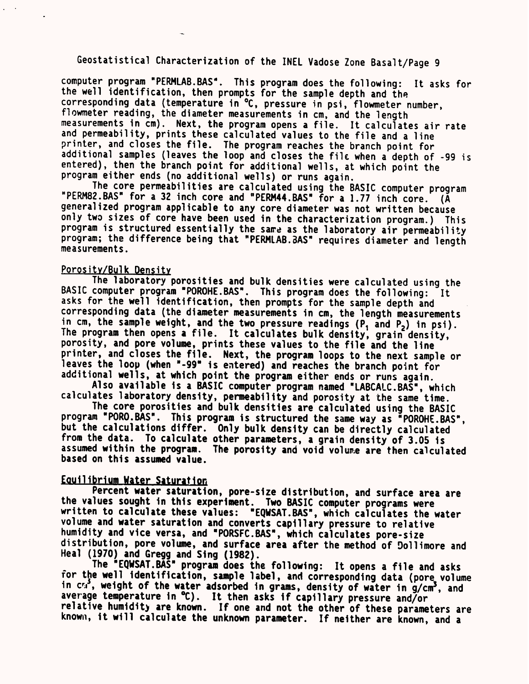computer program "PERMLAB.BAS". This program does the following: It asks for the well identification, then prompts for the sample depth and the corresponding data (temperature in °C, pressure in psi, flowmeter number, flowmeter reading, the diameter measurements in cm, and the length measurements in cm). Next, the program opens a file. It calculates air rate and permeability, prints these calculated values to the file and a line printer, and closes the file. The program reaches the branch point for additional samples (leaves the loop and closes the filc when a depth of -99 is entered), then the branch point for additional wells, at which point the program either ends (no additional wells) or runs again.

The core permeabilities are calculated using the BASIC computer program "PERM82.BAS" for a 32 inch core and "PERM44.BAS" for a 1.77 inch core. (A generalized program applicable to any core diameter was not written because only two sizes of core have been used in the characterization program.) This program is structured essentially the same as the laboratory air permeability program; the difference being that "PERMLAB.8AS" requires diameter and length measurements.

## Porosity/Bulk Density

The laboratory porosities and bulk densities were calculated using the BASIC computer program "POROHE.BAS". This program does the following: It asks for the well identification, then prompts for the sample depth and corresponding data (the diameter measurements in cm, the length measurements in cm, the sample weight, and the two pressure readings  $(P_1$  and  $P_2)$  in psi). The program then opens a file. It calculates bulk density, grain density, porosity, and pore volume, prints these values to the file and the line printer, and closes the file. Next, the program loops to the next sample or leaves the loop (when "-99" is entered) and reaches the branch point for additional wells, at which point the program either ends or runs again.

Also available is a BASIC computer program named "LABCALC.BAS", which calculates laboratory density, permeability and porosity at the same time.

The core porosities and bulk densities are calculated using the BASIC program "PORO.BAS". This program is structured the same way as "POROHE.BAS", but the calculations differ. Only bulk density can be directly calculated from the data. To calculate other parameters, a grain density of 3.05 is assumed within the program. The porosity and void volume are then calculated based on this assumed value.

## Eouilibrium Water Saturation

Percent water saturation, pore-size distribution, and surface area are the values sought in this experiment. Two BASIC computer programs were written to calculate these values: "EQWSAT.BAS", which calculates the water volume and water saturation and converts capillary pressure to relative humidity and vice versa, and "PORSFC.BAS", which calculates pore-size distribution, pore volume, and surface area after the method of Dollimore and Heal (1970) and Gregg and Sing (1982).

The "EQWSAT.BAS" program does the following: It opens a file and asks for the well identification, sample label, and corresponding data (pore volume in  $c_{\mathcal{A}}^3$ , weight of the water adsorbed in grams, density of water in  $g/cm^3$ , and average temperature in °C). It then asks if capillary pressure and/or relative humidit) are known. If one and not the other of these parameters are known, it will calculate the unknown parameter. If neither are known, and a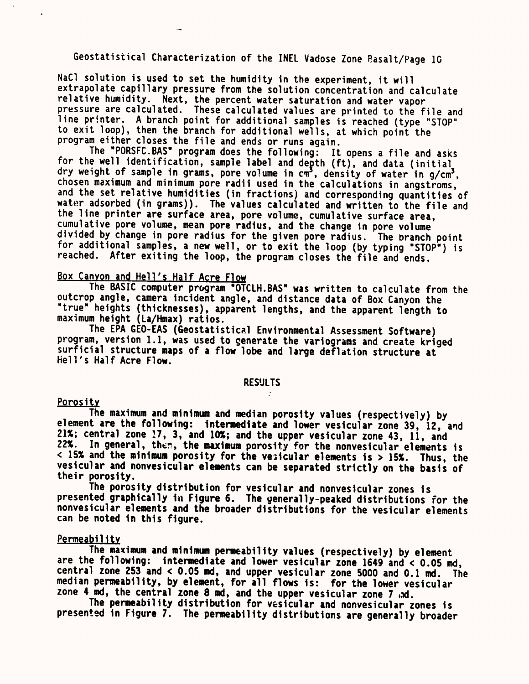NaC1 solution is used to set the humidity in the experiment, it will extrapolate capillary pressure from the solution concentration and calculate relative humidity. Next, the percent water saturation and water vapor<br>pressure are calculated. These calculated values are printed to the file and line printer. A branch point for additional samples is reached (type "STOP" to exit loop), then the branch for additional wells, at which point the program either closes the file and ends or runs again.

The "PORSFC.BAS" program does the following: It opens a file and asks for the well identification, sample label and depth (ft), and data (initial dry weight of sample in grams, pore volume in cm<sup>3</sup>, density of water in g/cm<sup>3</sup>, chosen maximum and minimum pore radii used in the calculations in angstroms, and the set relative humidities (in fractions) and corresponding quantities of water adsorbed (in grams)). The values calculated and written to the file and the line printer are surface area, pore volume, cumulative surface area, cumulative pore volume, mean pore radius, and the change in pore volume divided by change in pore radius for the given pore radius. The branch point for additional samples, a new well, or to exit the loop (by typing "STOP") is reached. After exiting the loop, the program closes the file and ends.

## Box Canyon and Hell's Half Acre Flow

The BASIC computer program "OTCLH.BAS" was written to calculate from the outcrop angle, camera incident angle, and distance data of Box Canyon the "true" heights (thicknesses), apparent lengths, and the apparent length to maximum height (La/Hmax) ratios.

The EPA GEO-EAS (GeostatisticAl Environmental Assessment Software) program, version 1.1, was used to generate the variograms and create kriged surficial structure maps of a flow lobe and large deflation structure at Hell's Half Acre Flow.

## **RESULTS**

## Porositv

The maximum and minimum and median porosity values (respectively) by element are the following: intermediate and lower vesicular zone 39, 12, and 21%; central zone !7, 3, and 10%; and the upper vesicular zone 43, 11, and 22%. In general, ther, the maximum porosity for the nonvesicular elements is <sup>&</sup>lt;15% and the minimum porosity for the vesicular elements is > 15%. Thus, the vesicular and nonvesicular elements can be separated strictly on the basis of their porosity.

The porosity distribution for vesicular and nonvesicular zones is presented graphically in Figure 6. The generally-peaked distributions for the nonvesicular elements and the broader distributions for the vesicular elements can be noted in this figure.

### permeability

The maximum and minimum permeability values (respectively) by element are the following: intermediate and lower vesicular zone 1649 and < 0.05 md, median permeability, by element, for all flows is: for the lower vesicular zone 4 md, the central zone 8 md, and the upper vesicular zone 7 ad.

The permeability distribution for vesicular and nonvesicular zones is presented in Figure 7. The permeability distributions are generally broader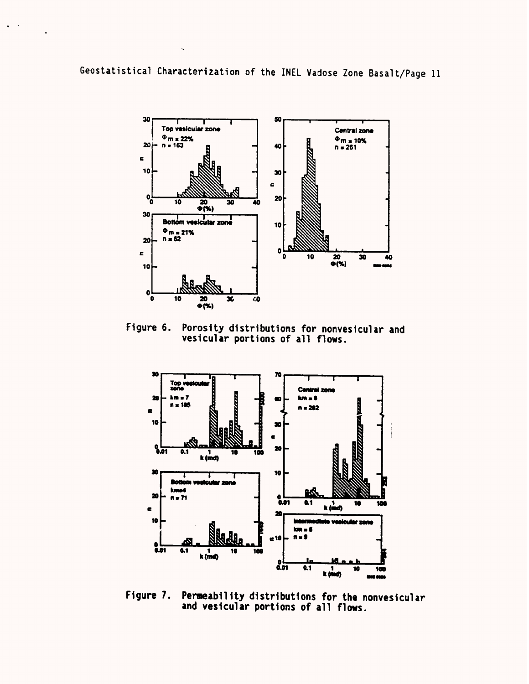$\bullet$  .  $\bullet$  .



Figure 6. Porosity distributions for nonvesicular and vesicular portions of all flows.



Figure 7. Permeability distributions for the nonvesicular and vesicular portions of all flows.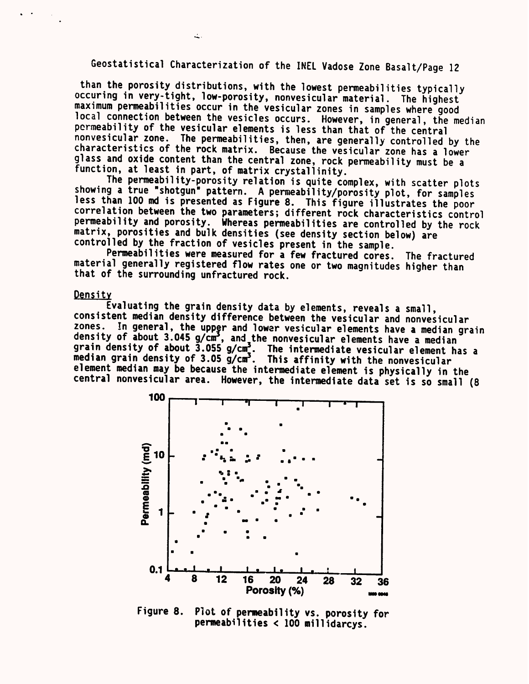than the porosity distributions, with the lowest permeabilities typically<br>occuring in very-tight, low-porosity, nonvesicular material. The highest<br>maximum permeabilities occur in the vesicular zones in samples where good<br>l function, at least in part, of matrix crystallinity.<br>The permeability-porosity relation is quite complex, with scatter plots

showing a true "shotgun" pattern. A permeability/porosity plot, for samples<br>less than 100 md is presented as Figure 8. This figure illustrates the poor<br>correlation between the two parameters; different rock characteristics

Permeabilities were measured for a few fractured cores. The fractured material generally registered flow rates one or two magnitudes higher than that of the surrounding unfractured rock.

## Densitv

Evaluating the grain density data by elements, reveals a small,<br>consistent median density difference between the vesicular and nonvesicular<br>zones. In general, the upper and lower vesicular elements have a median grain density of about 3.045 g/cm<sup>3</sup>, and the nonvesicular elements have a median grain density of about  $\frac{3.055 \text{ g/cm}^3}{\text{m}^3}$ . The intermediate vesicular element has a median grain density of 3.05 g/cm<sup>3</sup>. This affinity with the nonvesicular element median may be because the intermediate element central nonvesicular area. However, the intermediate data set is so small (8



Figure 8. Plot of permeability vs. porosity for permeabilities < 100 millidarcys.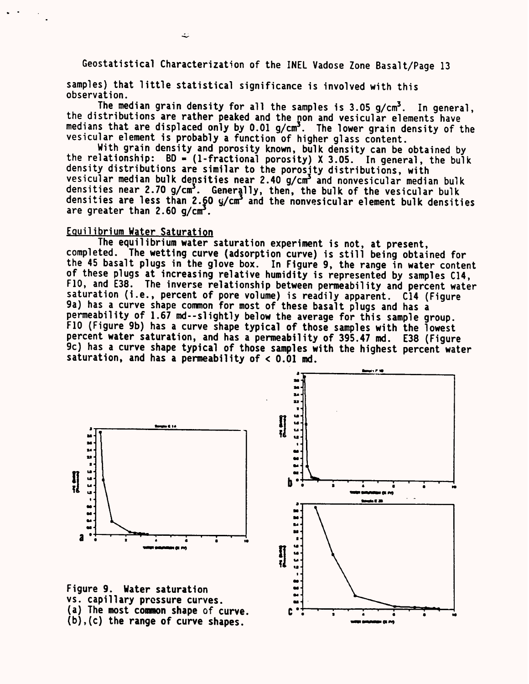samples) that little statistical significance is involved with this observation.

The median grain density for all the samples is  $3.05$  g/cm<sup>3</sup>. In general, the distributions are rather peaked and the non and vesicular elements have medians that are displaced only by  $0.01$  g/cm<sup>3</sup>. The lower grain density of the vesicular element is probably a function of higher glass content.

With grain density and porosity known, bulk density can be obtained by the relationship:  $BD = (1-fractional porosity) \times 3.05$ . In general, the bulk density distributions are similar to the porosity distributions, with vesicular median bulk densities near 2.40 g/cm<sup>3</sup> and nonvesicular median bulk densities near 2.70 g/cm<sup>3</sup>. Generally, then, the bulk of the vesicular bulk densities are less than 2.60 y/cm3 and the nonvesicular element bulk densities are greater than  $2.60$  g/cm<sup>3</sup>.

## Equilibrium Water Saturation

The equilibrium water saturation experiment is not, at present, completed. The wetting curve (adsorption curve) is still being obtained for the 45 basalt plugs in the glove box. In Figure 9, the range in water content of these plugs at increasing relative humidity is represented by samples C14, F10, and E38. The inverse relationship between permeability and percent water saturation (i.e., percent of pore volume) is readily apparent. C14 (Figure 9a) has a curve shape common for most of these basalt plugs and has <sup>a</sup> permeability of 1.67 md--slightly below the average for this sample group. F10 (Figure 9b) has a curve shape typical of those samples with the lowest percent water saturation, and has a permeability of 395.47 md. E38 (Figure 9c) has a curve shape typical of those samples with the highest percent water saturation, and has a permeability of < 0.01 md.





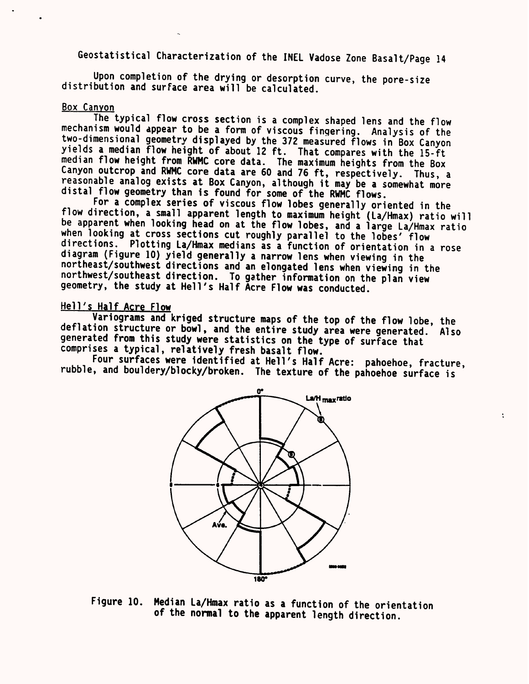Upon completion of the drying or desorption curve, the pore-size distribution and surface area will be calculated.

Box Canyon<br>The typical flow cross section is a complex shaped lens and the flow mechanism would appear to be a form of viscous fingering. Analysis of the two-dimensional geometry displayed by the 372 measured flows in Box Canyon yields a median flow height of about 12 ft. That compares with the 15-ft reasonable analog exists at Box Canyon, although it may be a somewhat more<br>distal flow geometry than is found for some of the RWMC flows.<br>For a complex series of viscous flow lobes generally oriented in the

flow direction, a small apparent length to maximum height (La/Hmax) ratio will<br>be apparent when looking head on at the flow lobes, and a large La/Hmax ratio<br>when looking at cross sections cut roughly parallel to the lobes' geometry, the study at Hell's Half Acre Flow was conducted.

Hell's Half Acre Flow<br>Variograms and kriged structure maps of the top of the flow lobe, the deflation structure or bowl, and the entire study area were generated. Also generated from this study were statistics on the type of surface that comprises a typical, relatively fresh basalt flow.<br>Four surfaces were identi

rubble, and bouldery/blocky/broken. The texture of the pahoehoe surface is

÷



Figure 10. Median La/Hmax ratio as a function of the orientation of the normal to the apparent length direction.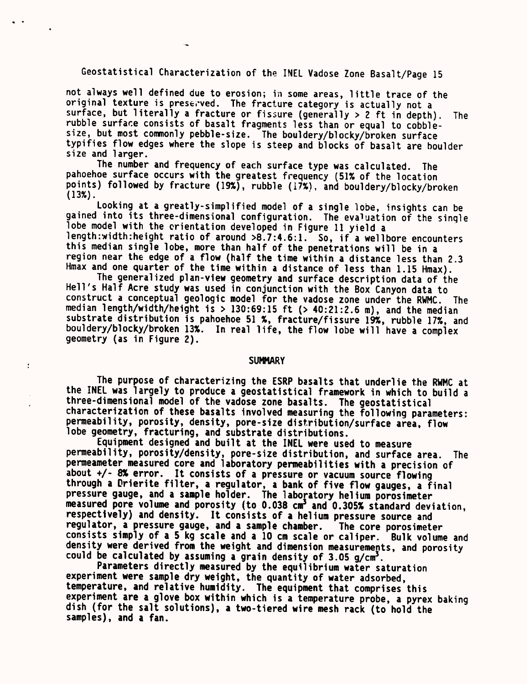not always well defined due to erosion; in some areas, little trace of the original texture is preserved. The fracture category is actually not <sup>a</sup> surface, but literally a fracture or fissure (generally  $> 2$  ft in depth). The rubble surface consists of basalt fragments less than or equal to cobblesize, but most commonly pebble-size. The bouldery/blocky/broken surface typifies flow edges where the slope is steep and blocks of basalt are boulder size and larger.

The number and frequency of each surface type was calculated. The pahoehoe surface occurs with the greatest frequency (51% of the location points) followed by fracture (19%), rubble (17%), and bouldery/blocky/broken (13%).

Looking at a greatly-simplified model of a single lobe, insights can be gained into its three-dimensional configuration. The evaluation of the single lobe model with the orientation developed in Figure 11 yield <sup>a</sup> length:width:height ratio of around >8.7:4.6:1. So, if a wellbore encounters this median single lobe, more than half of the penetrations will be in <sup>a</sup> region near the edge of a flow (half the time within a distance less than 2.3 Hmax and one quarter of the time within a distance of less than 1.15 Hmax).

The generalized plan-view geometry and surface description data of the Hell's Half Acre study was used in conjunction with the Box Canyon data to construct a conceptual geologic model for the vadose zone under the RWMC. The median length/width/height is > 130:69:15 ft (> 40:21:2.6 m), and the median substrate distribution is pahoehoe 51 %, fracture/fissure 19%, rubble 17%, and bouldery/blocky/broken 13%. In real life, the flow lobe will have a complex geometry (as in Figure 2).

#### **SUMMARY**

ł

The purpose of characterizing the ESRP basalts that underlie the RWMC at the INEL was largely to produce a geostatistical framework in which to build <sup>a</sup> three-dimensional model of the vadose zone basalts. The geostatistical characterization of these basalts involved measuring the following parameters: permeability, porosity, density, pore-size distribution/surface area, flow lobe geometry, fracturing, and substrate distributions.

Equipment designed and built at the INEL were used to measure permeability, porosity/density, pore-size distribution, and surface area. The permeameter measured core and laboratory permeabilities with a precision of about +/- 8% error. It consists of a pressure or vacuum source flowing through a Drierite filter, a regulator, a bank of five flow gauges, a final pressure gauge, and a sample holder. The laboratory helium porosimeter measured pore volume and porosity (to 0.038 cm<sup>3</sup> and 0.305% standard deviation, respectively) and density. It consists of a helium pressure source and regulator, a pressure gauge, and a sample chamber. The core porosimeter consists simply of a 5 kg scale and a 10 cm scale or caliper. Bulk volume and density were derived from the weight and dimension measurements, and porosity could be calculated by assuming a grain density of  $3.05$  g/cm<sup>3</sup>.

Parameters directly measured by the equilibrium water saturation experiment were sample dry weight, the quantity of water adsorbed, temperature, and relative humidity. The equipment that comprises this experiment are a glove box within which is a temperature probe, a pyrex baking dish (for the salt solutions), a two-tiered wire mesh rack (to hold the samples), and a fan.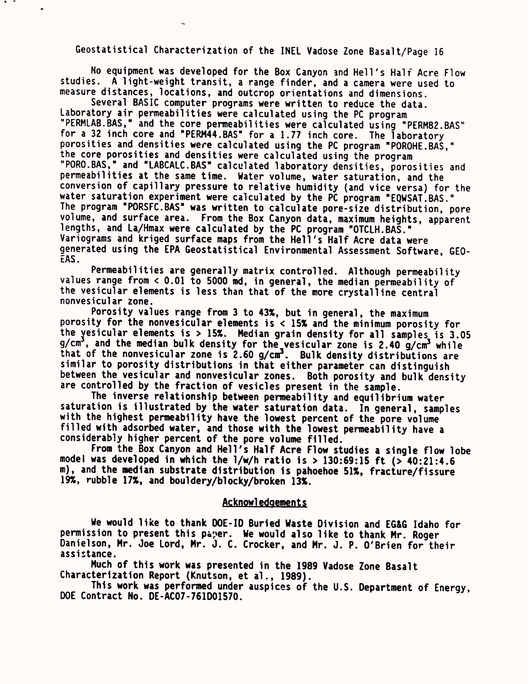No equipment was developed for the Box Canyon and Hell's Half Acre Flow studies. A light-weight transit, a range finder, and a camera were used to measure distances, locations, and outcrop orientations and dimensions.

Several BASIC computer programs were written to reduce the data. Laboratory air permeabilities were calculated using the PC program "PERMLAB.BAS," and the core permeabilities were calculated using "PERM82.BAS" for a 32 inch core and "PERM44.BAS" for a 1.77 inch core. The laboratory porosities and densities were calculated using the PC program "POROHE.BAS," the core porosities and densities were calculated using the program "PORO.BAS," and "LABCALC.BAS" calculated laboratory densities, porosities and permeabilities at the same time. Water volume, water saturation, and the conversion of capillary pressure to relative humidity (and vice versa) for the water saturation experiment were calculated by the PC program "EOWSAT.BAS." The program "PORSFC.BAS" was written to calculate pore-size distribution, pore volume, and surface area. From the Box Canyon data, maximum heights, apparent lengths, and La/Hmax were calculated by the PC program "OTCLH.BAS." Variograms and kriged surface maps from the Hell's Half Acre data were generated using the EPA Geostatistical Environmental Assessment Software, GEO-EAS

Permeabilities are generally matrix controlled. Although permeability values range from < 0.01 to 5000 md, in general, the median permeability of the vesicular elements is less than that of the more crystalline central nonvesicular zone.

Porosity values range from 3 to 43%, but in general, the maximum porosity for the nonvesicular elements is < 15% and the minimum porosity for the vesicular elements is > 15%. Median grain density for all samples is 3.05  $g/cm<sup>3</sup>$ , and the median bulk density for the vesicular zone is 2.40  $g/cm<sup>3</sup>$  while that of the nonvesicular zone is  $2.60$  g/cm<sup>3</sup>. Bulk density distributions are similar to porosity distributions in that either parameter can distinguish between the vesicular and nonvesicular zones. Both porosity and bulk density are controlled by the fraction of vesicles present in the sample.

The inverse relationship between permeability and equilibrium water saturation is illustrated by the water saturation data. In general, samples with the highest permeability have the lowest percent of the pore volume filled with adsorbed water, and those with the lowest permeability have <sup>a</sup> considerably higher percent of the pore volume filled.

From the Box Canyon and Hell's Half Acre Flow studies a single flow lobe model was developed in which the  $1/w/h$  ratio is  $> 130:69:15$  ft ( $> 40:21:4.6$ m), and the median substrate distribution is pahoehoe 51%, fracture/fissure 19%, rubble 17%, and bouldery/blocky/broken 13%.

## Acknowledgements

We would like to thank DOE-ID Buried Waste Division and EG&G Idaho for permission to present this paper. We would also like to thank Mr. Roger Danielson, Mr. Joe Lord, Mr. J. C. Crocker, and Mr. J. P. O'Brien for their assistance.

Much of this work was presented in the 1989 Vadose Zone Basalt Characterization Report (Knutson, et al., 1989).

This work was performed under auspices of the U.S. Department of Energy, DOE Contract No. 0E-AC07-761001570.